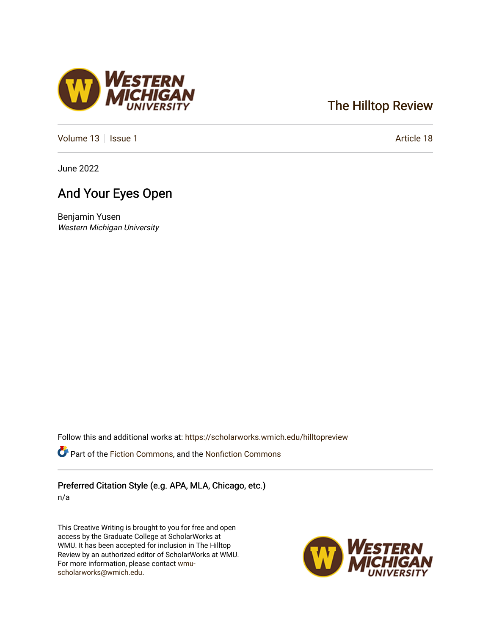## [The Hilltop Review](https://scholarworks.wmich.edu/hilltopreview)

[Volume 13](https://scholarworks.wmich.edu/hilltopreview/vol13) | [Issue 1](https://scholarworks.wmich.edu/hilltopreview/vol13/iss1) Article 18

June 2022

## And Your Eyes Open

Benjamin Yusen Western Michigan University

Follow this and additional works at: [https://scholarworks.wmich.edu/hilltopreview](https://scholarworks.wmich.edu/hilltopreview?utm_source=scholarworks.wmich.edu%2Fhilltopreview%2Fvol13%2Fiss1%2F18&utm_medium=PDF&utm_campaign=PDFCoverPages)

Part of the [Fiction Commons,](https://network.bepress.com/hgg/discipline/1151?utm_source=scholarworks.wmich.edu%2Fhilltopreview%2Fvol13%2Fiss1%2F18&utm_medium=PDF&utm_campaign=PDFCoverPages) and the [Nonfiction Commons](https://network.bepress.com/hgg/discipline/1152?utm_source=scholarworks.wmich.edu%2Fhilltopreview%2Fvol13%2Fiss1%2F18&utm_medium=PDF&utm_campaign=PDFCoverPages) 

Preferred Citation Style (e.g. APA, MLA, Chicago, etc.) n/a

This Creative Writing is brought to you for free and open access by the Graduate College at ScholarWorks at WMU. It has been accepted for inclusion in The Hilltop Review by an authorized editor of ScholarWorks at WMU. For more information, please contact [wmu](mailto:wmu-scholarworks@wmich.edu)[scholarworks@wmich.edu.](mailto:wmu-scholarworks@wmich.edu)



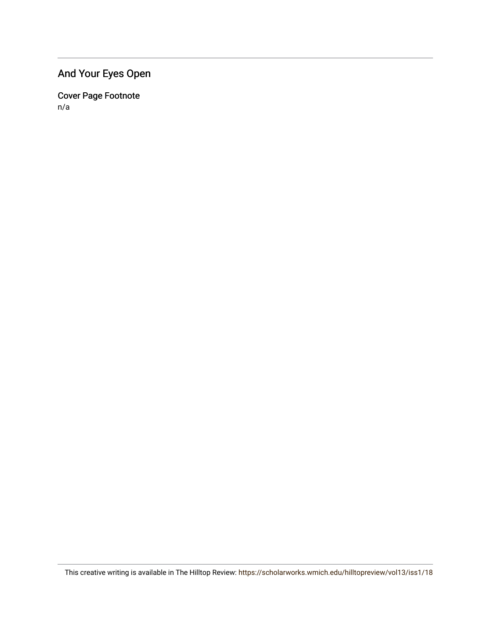## And Your Eyes Open

Cover Page Footnote n/a

This creative writing is available in The Hilltop Review: <https://scholarworks.wmich.edu/hilltopreview/vol13/iss1/18>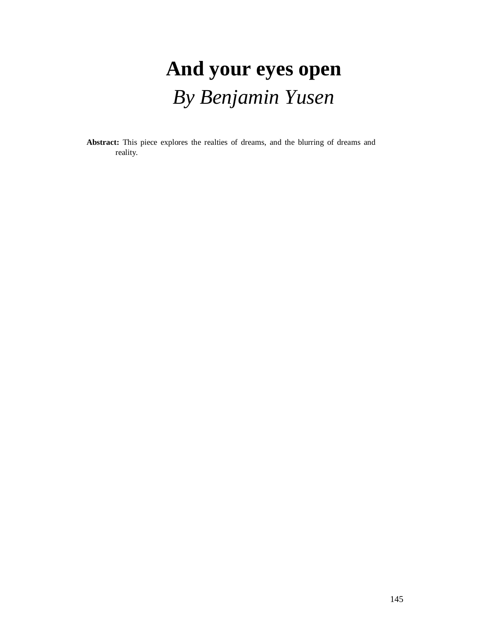# **And your eyes open** *By Benjamin Yusen*

**Abstract:** This piece explores the realties of dreams, and the blurring of dreams and reality.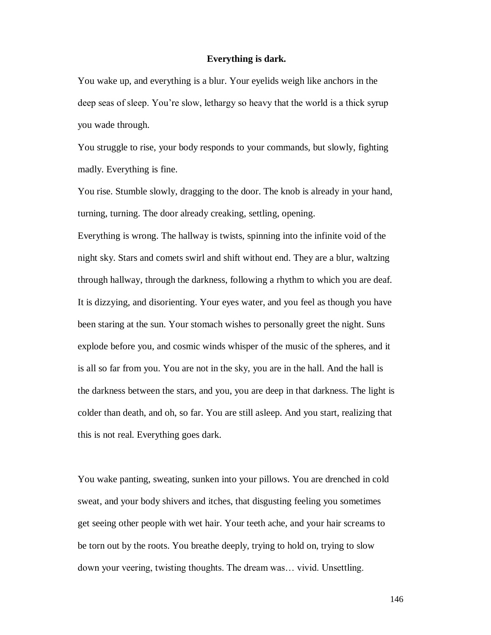#### **Everything is dark.**

You wake up, and everything is a blur. Your eyelids weigh like anchors in the deep seas of sleep. You're slow, lethargy so heavy that the world is a thick syrup you wade through.

You struggle to rise, your body responds to your commands, but slowly, fighting madly. Everything is fine.

You rise. Stumble slowly, dragging to the door. The knob is already in your hand, turning, turning. The door already creaking, settling, opening.

Everything is wrong. The hallway is twists, spinning into the infinite void of the night sky. Stars and comets swirl and shift without end. They are a blur, waltzing through hallway, through the darkness, following a rhythm to which you are deaf. It is dizzying, and disorienting. Your eyes water, and you feel as though you have been staring at the sun. Your stomach wishes to personally greet the night. Suns explode before you, and cosmic winds whisper of the music of the spheres, and it is all so far from you. You are not in the sky, you are in the hall. And the hall is the darkness between the stars, and you, you are deep in that darkness. The light is colder than death, and oh, so far. You are still asleep. And you start, realizing that this is not real. Everything goes dark.

You wake panting, sweating, sunken into your pillows. You are drenched in cold sweat, and your body shivers and itches, that disgusting feeling you sometimes get seeing other people with wet hair. Your teeth ache, and your hair screams to be torn out by the roots. You breathe deeply, trying to hold on, trying to slow down your veering, twisting thoughts. The dream was… vivid. Unsettling.

146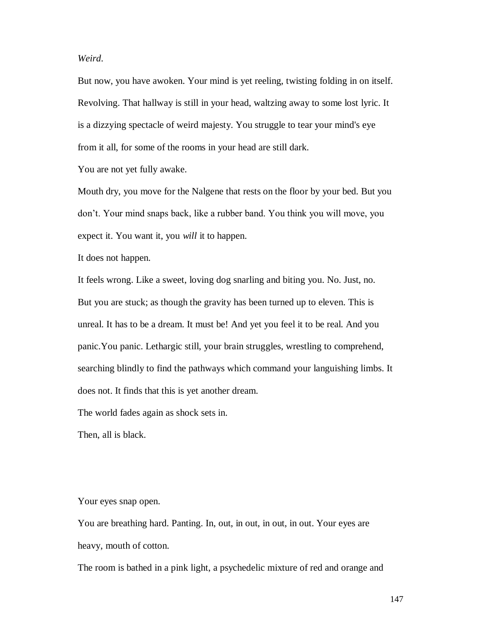### *Weird*.

But now, you have awoken. Your mind is yet reeling, twisting folding in on itself. Revolving. That hallway is still in your head, waltzing away to some lost lyric. It is a dizzying spectacle of weird majesty. You struggle to tear your mind's eye from it all, for some of the rooms in your head are still dark.

You are not yet fully awake.

Mouth dry, you move for the Nalgene that rests on the floor by your bed. But you don't. Your mind snaps back, like a rubber band. You think you will move, you expect it. You want it, you *will* it to happen.

It does not happen.

It feels wrong. Like a sweet, loving dog snarling and biting you. No. Just, no. But you are stuck; as though the gravity has been turned up to eleven. This is unreal. It has to be a dream. It must be! And yet you feel it to be real. And you panic.You panic. Lethargic still, your brain struggles, wrestling to comprehend, searching blindly to find the pathways which command your languishing limbs. It does not. It finds that this is yet another dream.

The world fades again as shock sets in.

Then, all is black.

Your eyes snap open.

You are breathing hard. Panting. In, out, in out, in out, in out. Your eyes are heavy, mouth of cotton.

The room is bathed in a pink light, a psychedelic mixture of red and orange and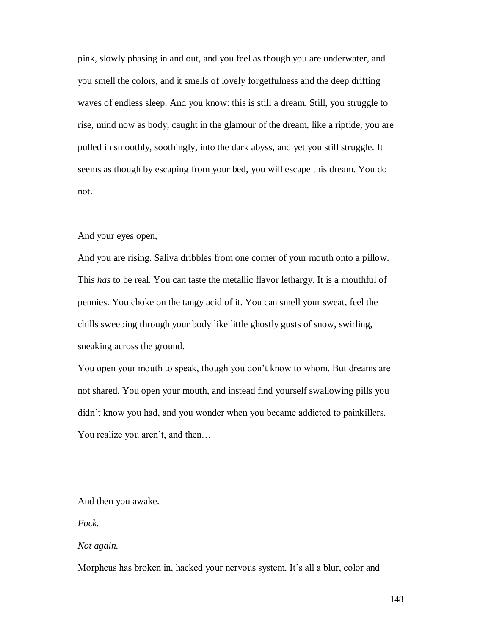pink, slowly phasing in and out, and you feel as though you are underwater, and you smell the colors, and it smells of lovely forgetfulness and the deep drifting waves of endless sleep. And you know: this is still a dream. Still, you struggle to rise, mind now as body, caught in the glamour of the dream, like a riptide, you are pulled in smoothly, soothingly, into the dark abyss, and yet you still struggle. It seems as though by escaping from your bed, you will escape this dream. You do not.

#### And your eyes open,

And you are rising. Saliva dribbles from one corner of your mouth onto a pillow. This *has* to be real. You can taste the metallic flavor lethargy. It is a mouthful of pennies. You choke on the tangy acid of it. You can smell your sweat, feel the chills sweeping through your body like little ghostly gusts of snow, swirling, sneaking across the ground.

You open your mouth to speak, though you don't know to whom. But dreams are not shared. You open your mouth, and instead find yourself swallowing pills you didn't know you had, and you wonder when you became addicted to painkillers. You realize you aren't, and then…

And then you awake.

*Fuck.*

#### *Not again.*

Morpheus has broken in, hacked your nervous system. It's all a blur, color and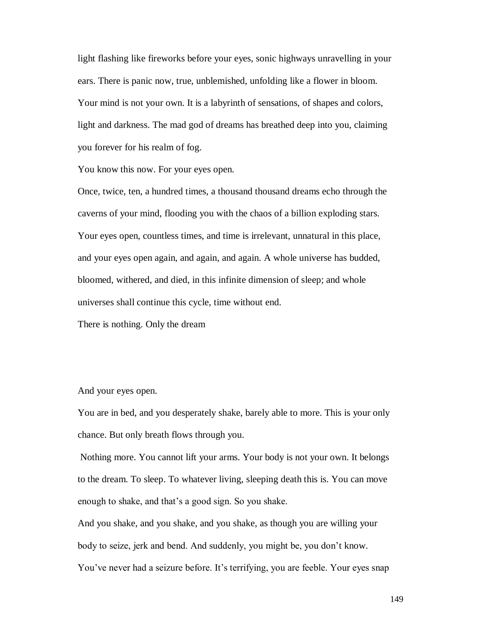light flashing like fireworks before your eyes, sonic highways unravelling in your ears. There is panic now, true, unblemished, unfolding like a flower in bloom. Your mind is not your own. It is a labyrinth of sensations, of shapes and colors, light and darkness. The mad god of dreams has breathed deep into you, claiming you forever for his realm of fog.

You know this now. For your eyes open.

Once, twice, ten, a hundred times, a thousand thousand dreams echo through the caverns of your mind, flooding you with the chaos of a billion exploding stars. Your eyes open, countless times, and time is irrelevant, unnatural in this place, and your eyes open again, and again, and again. A whole universe has budded, bloomed, withered, and died, in this infinite dimension of sleep; and whole universes shall continue this cycle, time without end.

There is nothing. Only the dream

And your eyes open.

You are in bed, and you desperately shake, barely able to more. This is your only chance. But only breath flows through you.

Nothing more. You cannot lift your arms. Your body is not your own. It belongs to the dream. To sleep. To whatever living, sleeping death this is. You can move enough to shake, and that's a good sign. So you shake.

And you shake, and you shake, and you shake, as though you are willing your body to seize, jerk and bend. And suddenly, you might be, you don't know.

You've never had a seizure before. It's terrifying, you are feeble. Your eyes snap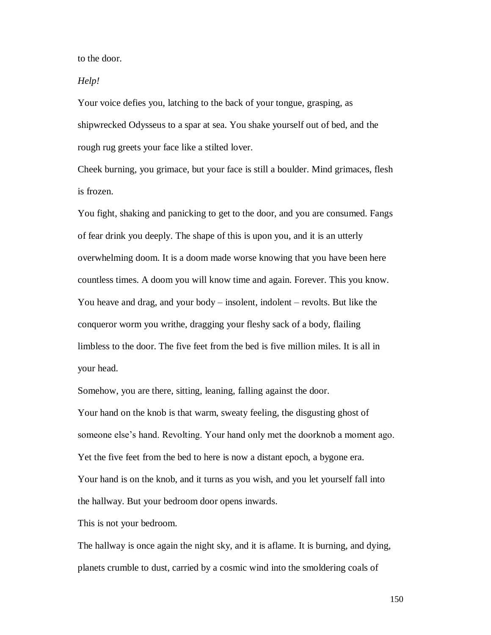to the door.

*Help!*

Your voice defies you, latching to the back of your tongue, grasping, as shipwrecked Odysseus to a spar at sea. You shake yourself out of bed, and the rough rug greets your face like a stilted lover.

Cheek burning, you grimace, but your face is still a boulder. Mind grimaces, flesh is frozen.

You fight, shaking and panicking to get to the door, and you are consumed. Fangs of fear drink you deeply. The shape of this is upon you, and it is an utterly overwhelming doom. It is a doom made worse knowing that you have been here countless times. A doom you will know time and again. Forever. This you know. You heave and drag, and your body – insolent, indolent – revolts. But like the conqueror worm you writhe, dragging your fleshy sack of a body, flailing limbless to the door. The five feet from the bed is five million miles. It is all in your head.

Somehow, you are there, sitting, leaning, falling against the door. Your hand on the knob is that warm, sweaty feeling, the disgusting ghost of someone else's hand. Revolting. Your hand only met the doorknob a moment ago. Yet the five feet from the bed to here is now a distant epoch, a bygone era. Your hand is on the knob, and it turns as you wish, and you let yourself fall into the hallway. But your bedroom door opens inwards.

This is not your bedroom.

The hallway is once again the night sky, and it is aflame. It is burning, and dying, planets crumble to dust, carried by a cosmic wind into the smoldering coals of

150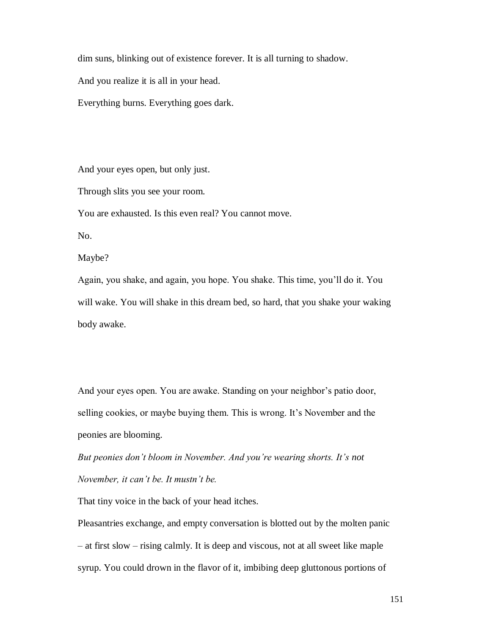dim suns, blinking out of existence forever. It is all turning to shadow.

And you realize it is all in your head.

Everything burns. Everything goes dark.

And your eyes open, but only just.

Through slits you see your room.

You are exhausted. Is this even real? You cannot move.

No.

Maybe?

Again, you shake, and again, you hope. You shake. This time, you'll do it. You will wake. You will shake in this dream bed, so hard, that you shake your waking body awake.

And your eyes open. You are awake. Standing on your neighbor's patio door, selling cookies, or maybe buying them. This is wrong. It's November and the peonies are blooming*.*

*But peonies don't bloom in November. And you're wearing shorts. It's not November, it can't be. It mustn't be.*

That tiny voice in the back of your head itches.

Pleasantries exchange, and empty conversation is blotted out by the molten panic – at first slow – rising calmly. It is deep and viscous, not at all sweet like maple syrup. You could drown in the flavor of it, imbibing deep gluttonous portions of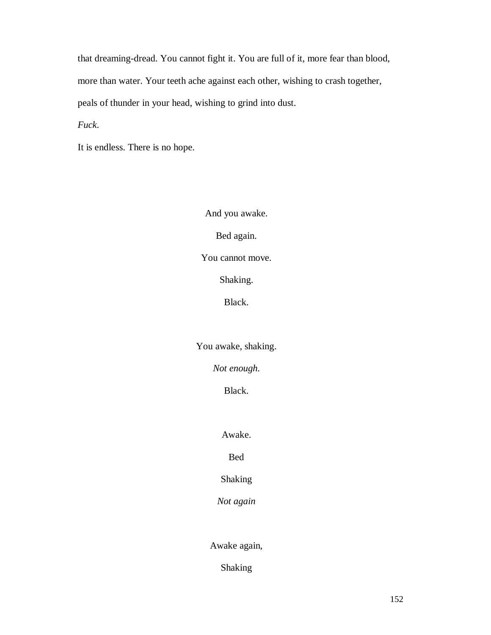that dreaming-dread. You cannot fight it. You are full of it, more fear than blood, more than water. Your teeth ache against each other, wishing to crash together, peals of thunder in your head, wishing to grind into dust.

*Fuck*.

It is endless. There is no hope.

And you awake. Bed again. You cannot move. Shaking. Black. You awake, shaking.

*Not enough.*

Black.

Awake.

Bed

Shaking

*Not again*

Awake again,

Shaking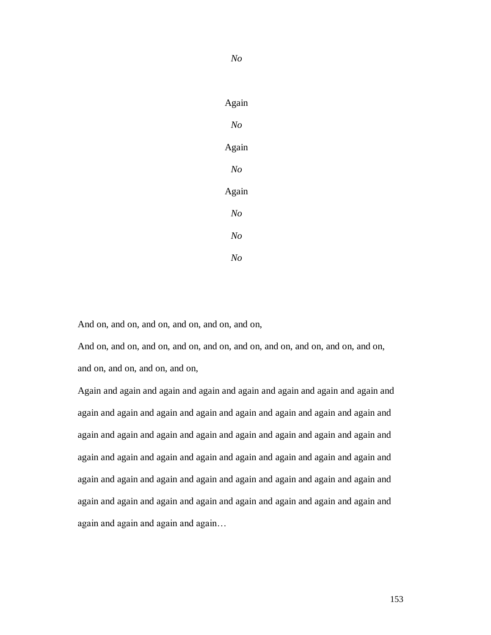Again *No* Again

*No*

*No* Again *No No No*

And on, and on, and on, and on, and on, and on,

And on, and on, and on, and on, and on, and on, and on, and on, and on, and on, and on, and on, and on, and on,

Again and again and again and again and again and again and again and again and again and again and again and again and again and again and again and again and again and again and again and again and again and again and again and again and again and again and again and again and again and again and again and again and again and again and again and again and again and again and again and again and again and again and again and again and again and again and again and again and again and again and again and again…

153